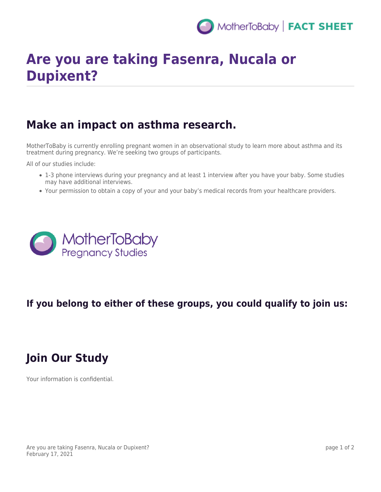

# **Are you are taking Fasenra, Nucala or Dupixent?**

## **Make an impact on asthma research.**

MotherToBaby is currently enrolling pregnant women in an observational study to learn more about asthma and its treatment during pregnancy. We're seeking two groups of participants.

All of our studies include:

- 1-3 phone interviews during your pregnancy and at least 1 interview after you have your baby. Some studies may have additional interviews.
- Your permission to obtain a copy of your and your baby's medical records from your healthcare providers.



### **If you belong to either of these groups, you could qualify to join us:**

# **Join Our Study**

Your information is confidential.